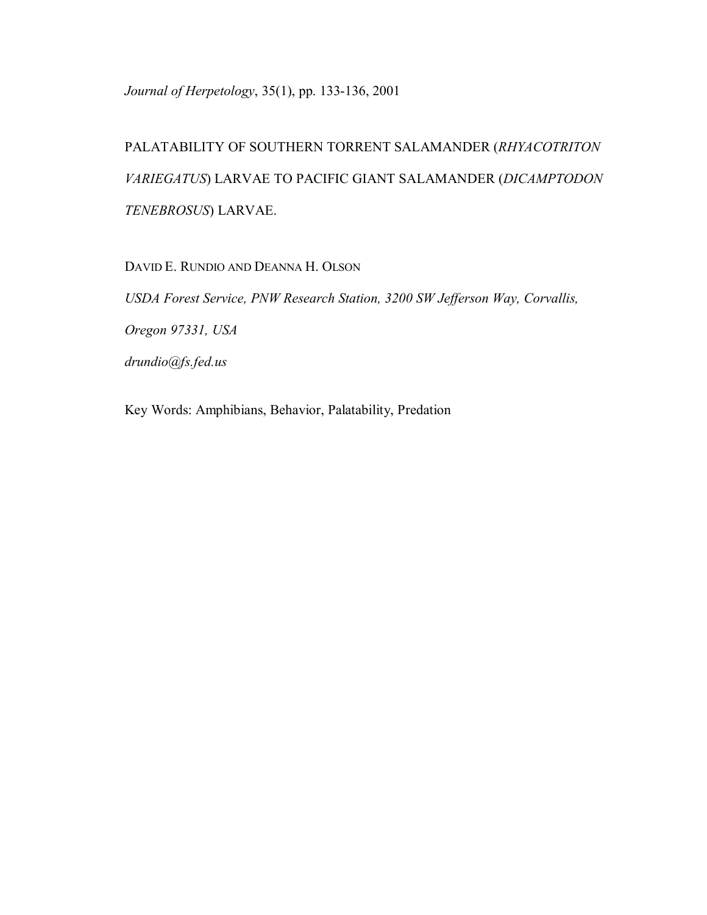*Journal of Herpetology*, 35(1), pp. 133-136, 2001

PALATABILITY OF SOUTHERN TORRENT SALAMANDER (*RHYACOTRITON VARIEGATUS*) LARVAE TO PACIFIC GIANT SALAMANDER (*DICAMPTODON TENEBROSUS*) LARVAE.

DAVID E. RUNDIO AND DEANNA H. OLSON

*USDA Forest Service, PNW Research Station, 3200 SW Jefferson Way, Corvallis, Oregon 97331, USA drundio@fs.fed.us* 

Key Words: Amphibians, Behavior, Palatability, Predation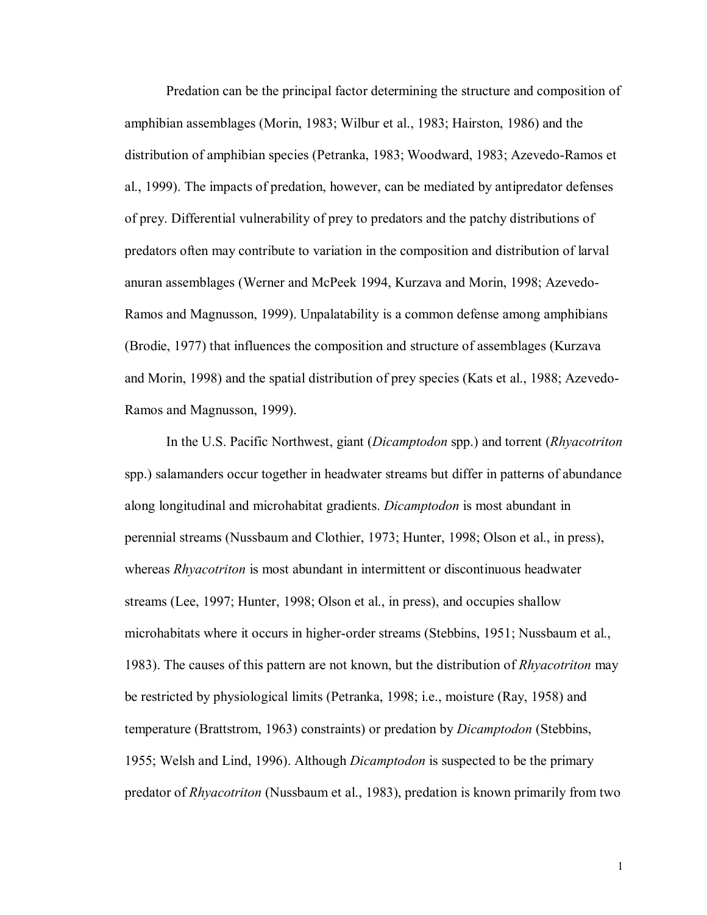Predation can be the principal factor determining the structure and composition of amphibian assemblages (Morin, 1983; Wilbur et al., 1983; Hairston, 1986) and the distribution of amphibian species (Petranka, 1983; Woodward, 1983; Azevedo-Ramos et al., 1999). The impacts of predation, however, can be mediated by antipredator defenses of prey. Differential vulnerability of prey to predators and the patchy distributions of predators often may contribute to variation in the composition and distribution of larval anuran assemblages (Werner and McPeek 1994, Kurzava and Morin, 1998; Azevedo-Ramos and Magnusson, 1999). Unpalatability is a common defense among amphibians (Brodie, 1977) that influences the composition and structure of assemblages (Kurzava and Morin, 1998) and the spatial distribution of prey species (Kats et al., 1988; Azevedo-Ramos and Magnusson, 1999).

In the U.S. Pacific Northwest, giant (*Dicamptodon* spp.) and torrent (*Rhyacotriton* spp.) salamanders occur together in headwater streams but differ in patterns of abundance along longitudinal and microhabitat gradients. *Dicamptodon* is most abundant in perennial streams (Nussbaum and Clothier, 1973; Hunter, 1998; Olson et al., in press), whereas *Rhyacotriton* is most abundant in intermittent or discontinuous headwater streams (Lee, 1997; Hunter, 1998; Olson et al., in press), and occupies shallow microhabitats where it occurs in higher-order streams (Stebbins, 1951; Nussbaum et al., 1983). The causes of this pattern are not known, but the distribution of *Rhyacotriton* may be restricted by physiological limits (Petranka, 1998; i.e., moisture (Ray, 1958) and temperature (Brattstrom, 1963) constraints) or predation by *Dicamptodon* (Stebbins, 1955; Welsh and Lind, 1996). Although *Dicamptodon* is suspected to be the primary predator of *Rhyacotriton* (Nussbaum et al., 1983), predation is known primarily from two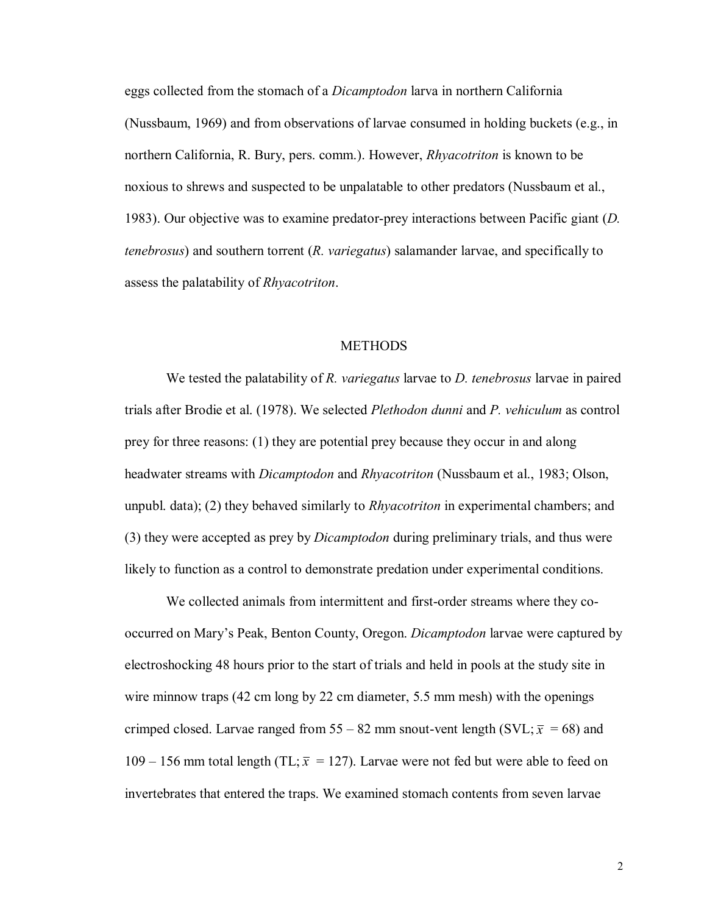eggs collected from the stomach of a *Dicamptodon* larva in northern California (Nussbaum, 1969) and from observations of larvae consumed in holding buckets (e.g., in northern California, R. Bury, pers. comm.). However, *Rhyacotriton* is known to be noxious to shrews and suspected to be unpalatable to other predators (Nussbaum et al., 1983). Our objective was to examine predator-prey interactions between Pacific giant (*D. tenebrosus*) and southern torrent (*R. variegatus*) salamander larvae, and specifically to assess the palatability of *Rhyacotriton*.

## **METHODS**

We tested the palatability of *R. variegatus* larvae to *D. tenebrosus* larvae in paired trials after Brodie et al. (1978). We selected *Plethodon dunni* and *P. vehiculum* as control prey for three reasons: (1) they are potential prey because they occur in and along headwater streams with *Dicamptodon* and *Rhyacotriton* (Nussbaum et al., 1983; Olson, unpubl. data); (2) they behaved similarly to *Rhyacotriton* in experimental chambers; and (3) they were accepted as prey by *Dicamptodon* during preliminary trials, and thus were likely to function as a control to demonstrate predation under experimental conditions.

We collected animals from intermittent and first-order streams where they cooccurred on Maryís Peak, Benton County, Oregon. *Dicamptodon* larvae were captured by electroshocking 48 hours prior to the start of trials and held in pools at the study site in wire minnow traps (42 cm long by 22 cm diameter, 5.5 mm mesh) with the openings crimped closed. Larvae ranged from 55 – 82 mm snout-vent length (SVL;  $\bar{x}$  = 68) and 109 – 156 mm total length (TL;  $\bar{x}$  = 127). Larvae were not fed but were able to feed on invertebrates that entered the traps. We examined stomach contents from seven larvae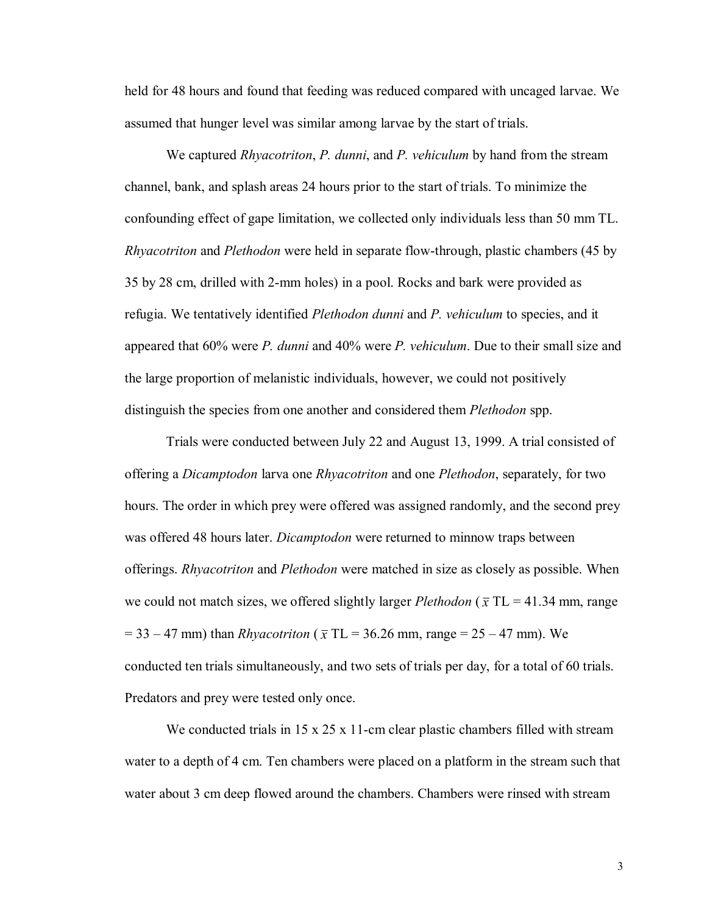held for 48 hours and found that feeding was reduced compared with uncaged larvae. We assumed that hunger level was similar among larvae by the start of trials.

We captured *Rhyacotriton*, *P. dunni*, and *P. vehiculum* by hand from the stream channel, bank, and splash areas 24 hours prior to the start of trials. To minimize the confounding effect of gape limitation, we collected only individuals less than 50 mm TL. *Rhyacotriton* and *Plethodon* were held in separate flow-through, plastic chambers (45 by 35 by 28 cm, drilled with 2-mm holes) in a pool. Rocks and bark were provided as refugia. We tentatively identified *Plethodon dunni* and *P. vehiculum* to species, and it appeared that 60% were *P. dunni* and 40% were *P. vehiculum*. Due to their small size and the large proportion of melanistic individuals, however, we could not positively distinguish the species from one another and considered them *Plethodon* spp.

Trials were conducted between July 22 and August 13, 1999. A trial consisted of offering a *Dicamptodon* larva one *Rhyacotriton* and one *Plethodon*, separately, for two hours. The order in which prey were offered was assigned randomly, and the second prey was offered 48 hours later. *Dicamptodon* were returned to minnow traps between offerings. *Rhyacotriton* and *Plethodon* were matched in size as closely as possible. When we could not match sizes, we offered slightly larger *Plethodon* ( $\bar{x}$  TL = 41.34 mm, range  $= 33 - 47$  mm) than *Rhyacotriton* ( $\bar{x}$  TL = 36.26 mm, range = 25 – 47 mm). We conducted ten trials simultaneously, and two sets of trials per day, for a total of 60 trials. Predators and prey were tested only once.

We conducted trials in  $15 \times 25 \times 11$ -cm clear plastic chambers filled with stream water to a depth of 4 cm. Ten chambers were placed on a platform in the stream such that water about 3 cm deep flowed around the chambers. Chambers were rinsed with stream

3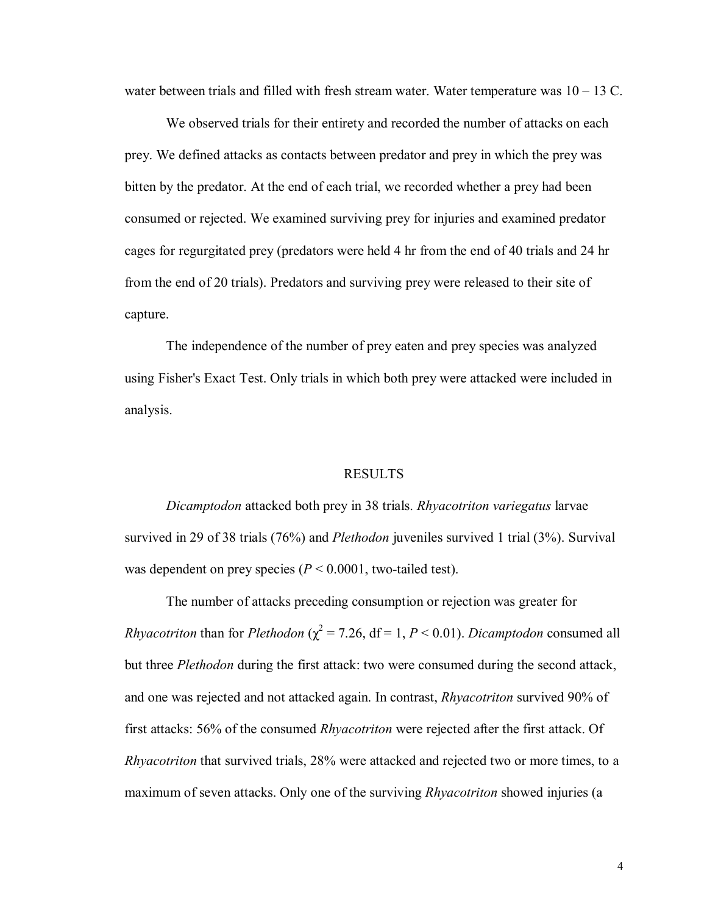water between trials and filled with fresh stream water. Water temperature was  $10 - 13$  C.

We observed trials for their entirety and recorded the number of attacks on each prey. We defined attacks as contacts between predator and prey in which the prey was bitten by the predator. At the end of each trial, we recorded whether a prey had been consumed or rejected. We examined surviving prey for injuries and examined predator cages for regurgitated prey (predators were held 4 hr from the end of 40 trials and 24 hr from the end of 20 trials). Predators and surviving prey were released to their site of capture.

The independence of the number of prey eaten and prey species was analyzed using Fisher's Exact Test. Only trials in which both prey were attacked were included in analysis.

### RESULTS

*Dicamptodon* attacked both prey in 38 trials. *Rhyacotriton variegatus* larvae survived in 29 of 38 trials (76%) and *Plethodon* juveniles survived 1 trial (3%). Survival was dependent on prey species (*P* < 0.0001, two-tailed test).

The number of attacks preceding consumption or rejection was greater for *Rhyacotriton* than for *Plethodon* ( $\chi^2$  = 7.26, df = 1, *P* < 0.01). *Dicamptodon* consumed all but three *Plethodon* during the first attack: two were consumed during the second attack, and one was rejected and not attacked again. In contrast, *Rhyacotriton* survived 90% of first attacks: 56% of the consumed *Rhyacotriton* were rejected after the first attack. Of *Rhyacotriton* that survived trials, 28% were attacked and rejected two or more times, to a maximum of seven attacks. Only one of the surviving *Rhyacotriton* showed injuries (a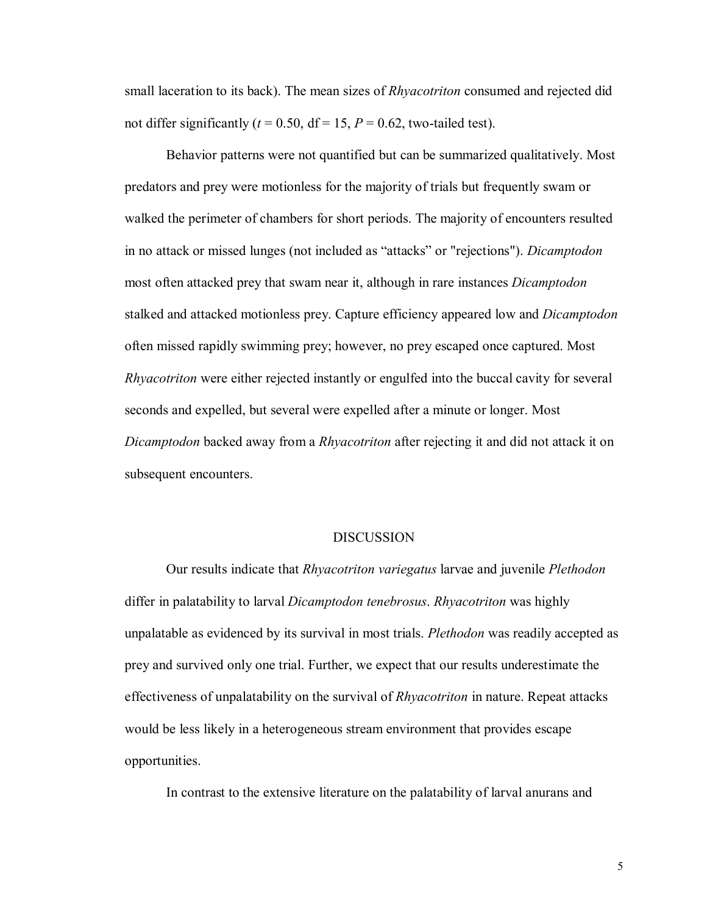small laceration to its back). The mean sizes of *Rhyacotriton* consumed and rejected did not differ significantly ( $t = 0.50$ , df = 15,  $P = 0.62$ , two-tailed test).

Behavior patterns were not quantified but can be summarized qualitatively. Most predators and prey were motionless for the majority of trials but frequently swam or walked the perimeter of chambers for short periods. The majority of encounters resulted in no attack or missed lunges (not included as "attacks" or "rejections"). *Dicamptodon* most often attacked prey that swam near it, although in rare instances *Dicamptodon* stalked and attacked motionless prey. Capture efficiency appeared low and *Dicamptodon*  often missed rapidly swimming prey; however, no prey escaped once captured. Most *Rhyacotriton* were either rejected instantly or engulfed into the buccal cavity for several seconds and expelled, but several were expelled after a minute or longer. Most *Dicamptodon* backed away from a *Rhyacotriton* after rejecting it and did not attack it on subsequent encounters.

#### DISCUSSION

Our results indicate that *Rhyacotriton variegatus* larvae and juvenile *Plethodon*  differ in palatability to larval *Dicamptodon tenebrosus*. *Rhyacotriton* was highly unpalatable as evidenced by its survival in most trials. *Plethodon* was readily accepted as prey and survived only one trial. Further, we expect that our results underestimate the effectiveness of unpalatability on the survival of *Rhyacotriton* in nature. Repeat attacks would be less likely in a heterogeneous stream environment that provides escape opportunities.

In contrast to the extensive literature on the palatability of larval anurans and

5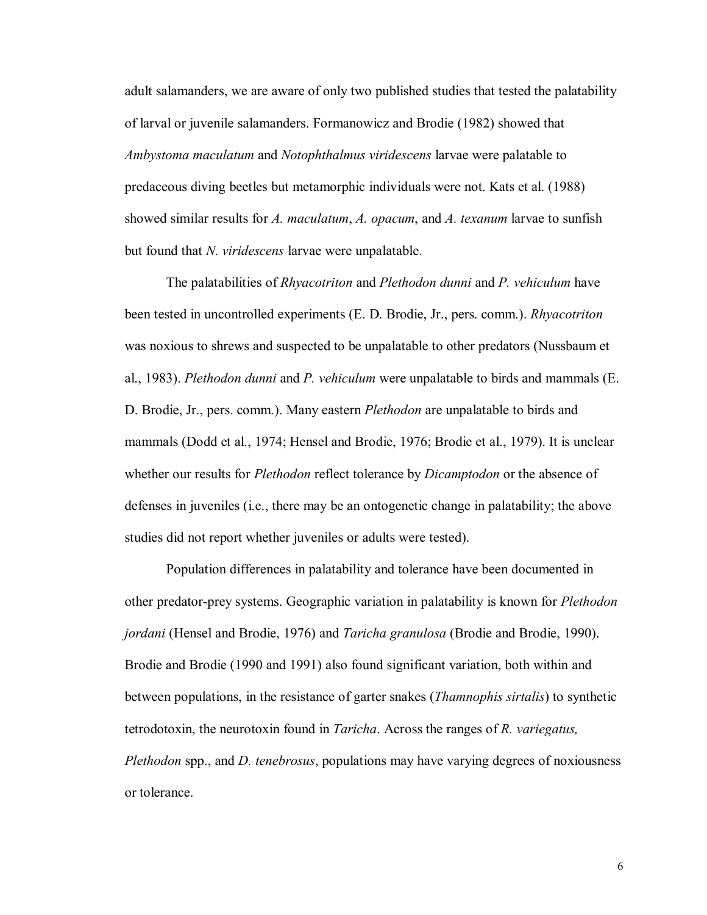adult salamanders, we are aware of only two published studies that tested the palatability of larval or juvenile salamanders. Formanowicz and Brodie (1982) showed that *Ambystoma maculatum* and *Notophthalmus viridescens* larvae were palatable to predaceous diving beetles but metamorphic individuals were not. Kats et al. (1988) showed similar results for *A. maculatum*, *A. opacum*, and *A. texanum* larvae to sunfish but found that *N. viridescens* larvae were unpalatable.

The palatabilities of *Rhyacotriton* and *Plethodon dunni* and *P. vehiculum* have been tested in uncontrolled experiments (E. D. Brodie, Jr., pers. comm.). *Rhyacotriton* was noxious to shrews and suspected to be unpalatable to other predators (Nussbaum et al., 1983). *Plethodon dunni* and *P. vehiculum* were unpalatable to birds and mammals (E. D. Brodie, Jr., pers. comm.). Many eastern *Plethodon* are unpalatable to birds and mammals (Dodd et al., 1974; Hensel and Brodie, 1976; Brodie et al., 1979). It is unclear whether our results for *Plethodon* reflect tolerance by *Dicamptodon* or the absence of defenses in juveniles (i.e., there may be an ontogenetic change in palatability; the above studies did not report whether juveniles or adults were tested).

Population differences in palatability and tolerance have been documented in other predator-prey systems. Geographic variation in palatability is known for *Plethodon jordani* (Hensel and Brodie, 1976) and *Taricha granulosa* (Brodie and Brodie, 1990). Brodie and Brodie (1990 and 1991) also found significant variation, both within and between populations, in the resistance of garter snakes (*Thamnophis sirtalis*) to synthetic tetrodotoxin, the neurotoxin found in *Taricha*. Across the ranges of *R. variegatus, Plethodon* spp., and *D. tenebrosus*, populations may have varying degrees of noxiousness or tolerance.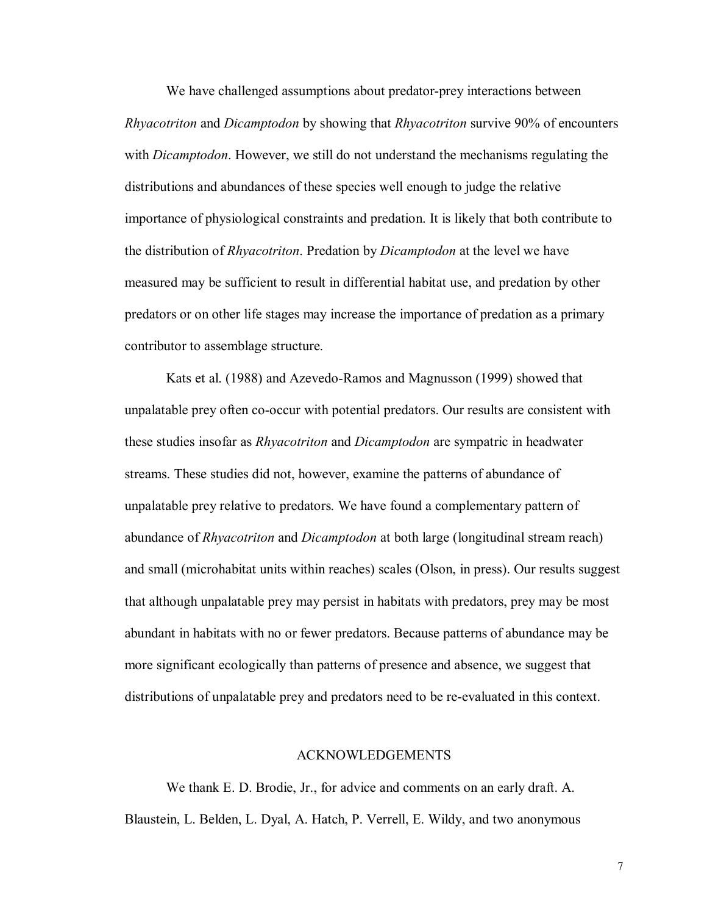We have challenged assumptions about predator-prey interactions between *Rhyacotriton* and *Dicamptodon* by showing that *Rhyacotriton* survive 90% of encounters with *Dicamptodon*. However, we still do not understand the mechanisms regulating the distributions and abundances of these species well enough to judge the relative importance of physiological constraints and predation. It is likely that both contribute to the distribution of *Rhyacotriton*. Predation by *Dicamptodon* at the level we have measured may be sufficient to result in differential habitat use, and predation by other predators or on other life stages may increase the importance of predation as a primary contributor to assemblage structure.

Kats et al. (1988) and Azevedo-Ramos and Magnusson (1999) showed that unpalatable prey often co-occur with potential predators. Our results are consistent with these studies insofar as *Rhyacotriton* and *Dicamptodon* are sympatric in headwater streams. These studies did not, however, examine the patterns of abundance of unpalatable prey relative to predators. We have found a complementary pattern of abundance of *Rhyacotriton* and *Dicamptodon* at both large (longitudinal stream reach) and small (microhabitat units within reaches) scales (Olson, in press). Our results suggest that although unpalatable prey may persist in habitats with predators, prey may be most abundant in habitats with no or fewer predators. Because patterns of abundance may be more significant ecologically than patterns of presence and absence, we suggest that distributions of unpalatable prey and predators need to be re-evaluated in this context.

## ACKNOWLEDGEMENTS

We thank E. D. Brodie, Jr., for advice and comments on an early draft. A. Blaustein, L. Belden, L. Dyal, A. Hatch, P. Verrell, E. Wildy, and two anonymous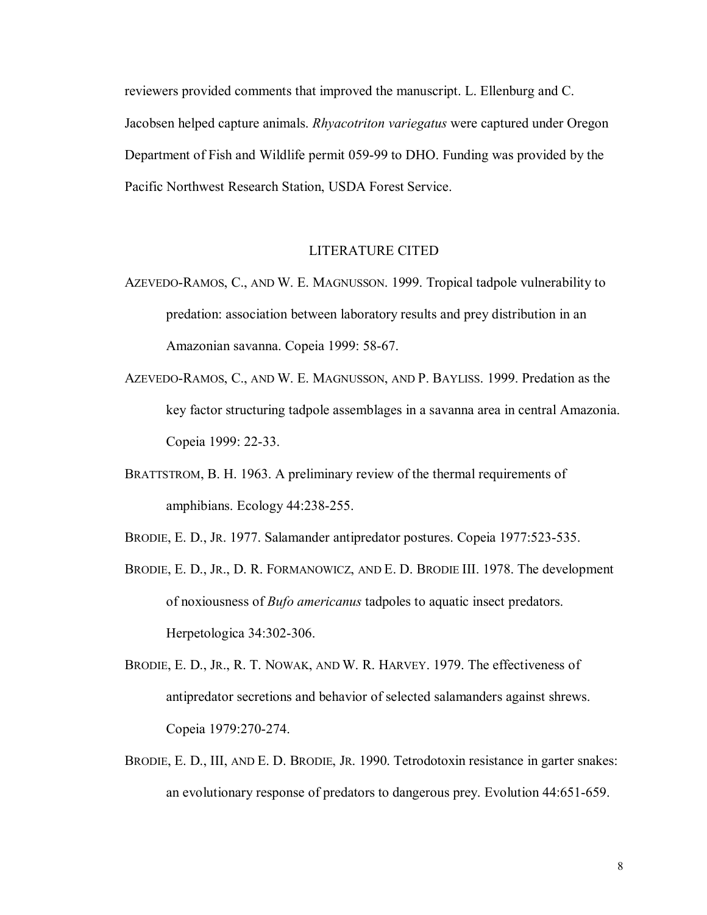reviewers provided comments that improved the manuscript. L. Ellenburg and C. Jacobsen helped capture animals. *Rhyacotriton variegatus* were captured under Oregon Department of Fish and Wildlife permit 059-99 to DHO. Funding was provided by the Pacific Northwest Research Station, USDA Forest Service.

# LITERATURE CITED

- AZEVEDO-RAMOS, C., AND W. E. MAGNUSSON. 1999. Tropical tadpole vulnerability to predation: association between laboratory results and prey distribution in an Amazonian savanna. Copeia 1999: 58-67.
- AZEVEDO-RAMOS, C., AND W. E. MAGNUSSON, AND P. BAYLISS. 1999. Predation as the key factor structuring tadpole assemblages in a savanna area in central Amazonia. Copeia 1999: 22-33.
- BRATTSTROM, B. H. 1963. A preliminary review of the thermal requirements of amphibians. Ecology 44:238-255.
- BRODIE, E. D., JR. 1977. Salamander antipredator postures. Copeia 1977:523-535.
- BRODIE, E. D., JR., D. R. FORMANOWICZ, AND E. D. BRODIE III. 1978. The development of noxiousness of *Bufo americanus* tadpoles to aquatic insect predators. Herpetologica 34:302-306.
- BRODIE, E. D., JR., R. T. NOWAK, AND W. R. HARVEY. 1979. The effectiveness of antipredator secretions and behavior of selected salamanders against shrews. Copeia 1979:270-274.
- BRODIE, E. D., III, AND E. D. BRODIE, JR. 1990. Tetrodotoxin resistance in garter snakes: an evolutionary response of predators to dangerous prey. Evolution 44:651-659.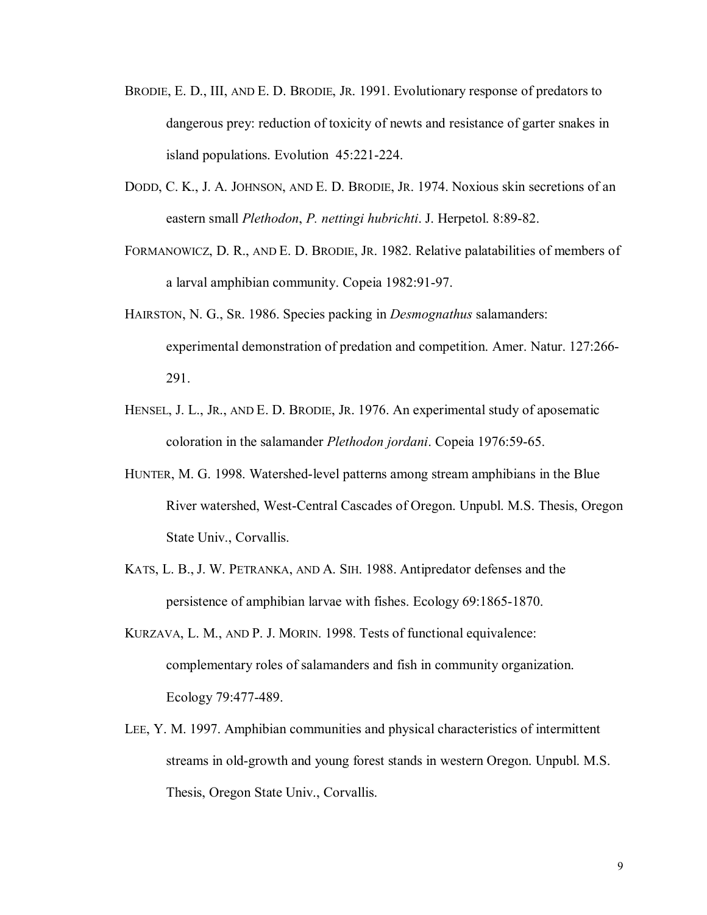- BRODIE, E. D., III, AND E. D. BRODIE, JR. 1991. Evolutionary response of predators to dangerous prey: reduction of toxicity of newts and resistance of garter snakes in island populations. Evolution 45:221-224.
- DODD, C. K., J. A. JOHNSON, AND E. D. BRODIE, JR. 1974. Noxious skin secretions of an eastern small *Plethodon*, *P. nettingi hubrichti*. J. Herpetol. 8:89-82.
- FORMANOWICZ, D. R., AND E. D. BRODIE, JR. 1982. Relative palatabilities of members of a larval amphibian community. Copeia 1982:91-97.
- HAIRSTON, N. G., SR. 1986. Species packing in *Desmognathus* salamanders: experimental demonstration of predation and competition. Amer. Natur. 127:266- 291.
- HENSEL, J. L., JR., AND E. D. BRODIE, JR. 1976. An experimental study of aposematic coloration in the salamander *Plethodon jordani*. Copeia 1976:59-65.
- HUNTER, M. G. 1998. Watershed-level patterns among stream amphibians in the Blue River watershed, West-Central Cascades of Oregon. Unpubl. M.S. Thesis, Oregon State Univ., Corvallis.
- KATS, L. B., J. W. PETRANKA, AND A. SIH. 1988. Antipredator defenses and the persistence of amphibian larvae with fishes. Ecology 69:1865-1870.
- KURZAVA, L. M., AND P. J. MORIN. 1998. Tests of functional equivalence: complementary roles of salamanders and fish in community organization. Ecology 79:477-489.
- LEE, Y. M. 1997. Amphibian communities and physical characteristics of intermittent streams in old-growth and young forest stands in western Oregon. Unpubl. M.S. Thesis, Oregon State Univ., Corvallis.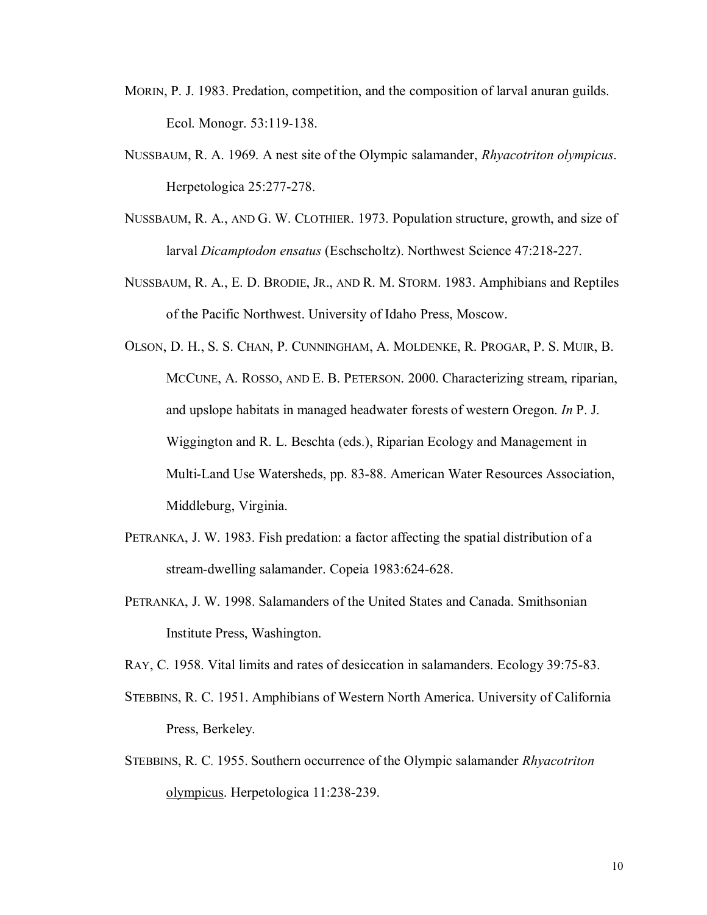- MORIN, P. J. 1983. Predation, competition, and the composition of larval anuran guilds. Ecol. Monogr. 53:119-138.
- NUSSBAUM, R. A. 1969. A nest site of the Olympic salamander, *Rhyacotriton olympicus*. Herpetologica 25:277-278.
- NUSSBAUM, R. A., AND G. W. CLOTHIER. 1973. Population structure, growth, and size of larval *Dicamptodon ensatus* (Eschscholtz). Northwest Science 47:218-227.
- NUSSBAUM, R. A., E. D. BRODIE, JR., AND R. M. STORM. 1983. Amphibians and Reptiles of the Pacific Northwest. University of Idaho Press, Moscow.
- OLSON, D. H., S. S. CHAN, P. CUNNINGHAM, A. MOLDENKE, R. PROGAR, P. S. MUIR, B. MCCUNE, A. ROSSO, AND E. B. PETERSON. 2000. Characterizing stream, riparian, and upslope habitats in managed headwater forests of western Oregon. *In* P. J. Wiggington and R. L. Beschta (eds.), Riparian Ecology and Management in Multi-Land Use Watersheds, pp. 83-88. American Water Resources Association, Middleburg, Virginia.
- PETRANKA, J. W. 1983. Fish predation: a factor affecting the spatial distribution of a stream-dwelling salamander. Copeia 1983:624-628.
- PETRANKA, J. W. 1998. Salamanders of the United States and Canada. Smithsonian Institute Press, Washington.

RAY, C. 1958. Vital limits and rates of desiccation in salamanders. Ecology 39:75-83.

- STEBBINS, R. C. 1951. Amphibians of Western North America. University of California Press, Berkeley.
- STEBBINS, R. C. 1955. Southern occurrence of the Olympic salamander *Rhyacotriton* olympicus. Herpetologica 11:238-239.